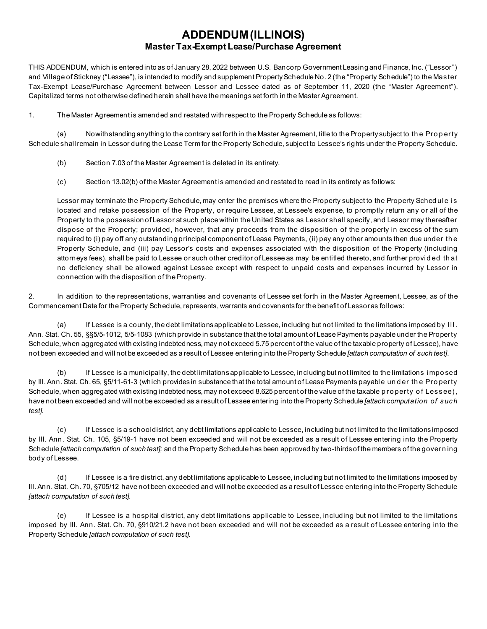#### **ADDENDUM (ILLINOIS) Master Tax-Exempt Lease/Purchase Agreement**

THIS ADDENDUM, which is entered into as of January 28, 2022 between U.S. Bancorp Government Leasing and Finance, Inc. ("Lessor") and Village of Stickney ("Lessee"), is intended to modify and supplement Property Schedule No. 2 (the "Property Schedule") to the Master Tax-Exempt Lease/Purchase Agreement between Lessor and Lessee dated as of September 11, 2020 (the "Master Agreement"). Capitalized terms not otherwise defined herein shall have the meanings set forth in the Master Agreement.

1. The Master Agreement is amended and restated with respect to the Property Schedule as follows:

(a) Nowithstanding anything to the contrary set forth in the Master Agreement, title to the Property subject to th e Pro p erty Schedule shall remain in Lessor during the Lease Term for the Property Schedule, subject to Lessee's rights under the Property Schedule.

- (b) Section 7.03 of the Master Agreement is deleted in its entirety.
- (c) Section 13.02(b) of the Master Agreement is amended and restated to read in its entirety as follows:

Lessor may terminate the Property Schedule, may enter the premises where the Property subject to the Property Sched ule is located and retake possession of the Property, or require Lessee, at Lessee's expense, to promptly return any or all of the Property to the possession of Lessor at such place within the United States as Lessor shall specify, and Lessor may thereafter dispose of the Property; provided, however, that any proceeds from the disposition of the property in excess of the sum required to (i) pay off any outstanding principal component of Lease Payments, (ii) pay any other amounts then due under th e Property Schedule, and (iii) pay Lessor's costs and expenses associated with the disposition of the Property (including attorneys fees), shall be paid to Lessee or such other creditor of Lessee as may be entitled thereto, and further provided that no deficiency shall be allowed against Lessee except with respect to unpaid costs and expenses incurred by Lessor in connection with the disposition of the Property.

2. In addition to the representations, warranties and covenants of Lessee set forth in the Master Agreement, Lessee, as of the Commencement Date for the Property Schedule, represents, warrants and covenants for the benefit of Lessor as follows:

(a) If Lessee is a county, the debt limitations applicable to Lessee, including but not limited to the limitations imposed by III. Ann. Stat. Ch. 55, §§5/5-1012, 5/5-1083 (which provide in substance that the total amount of Lease Payments payable under the Property Schedule, when aggregated with existing indebtedness, may not exceed 5.75 percent of the value of the taxable property of Lessee), have not been exceeded and will not be exceeded as a result of Lessee entering into the Property Schedule *[attach computation of such test]*.

(b) If Lessee is a municipality, the debt limitations applicable to Lessee, including but not limited to the limitations i mpo sed by III. Ann. Stat. Ch. 65, §5/11-61-3 (which provides in substance that the total amount of Lease Payments payable und er the Property Schedule, when aggregated with existing indebtedness, may not exceed 8.625 percent of the value of the taxable property of Lessee), have not been exceeded and will not be exceeded as a result of Lessee entering into the Property Schedule *[attach computation of such test].*

(c) If Lessee is a school district, any debt limitations applicable to Lessee, including but not limited to the limitations imposed by Ill. Ann. Stat. Ch. 105, §5/19-1 have not been exceeded and will not be exceeded as a result of Lessee entering into the Property Schedule *[attach computation of such test];* and the Property Schedule has been approved by two-thirds of the members of the govern ing body of Lessee.

(d) If Lessee is a fire district, any debt limitations applicable to Lessee, including but not limited to the limitations imposed by Ill. Ann. Stat. Ch. 70, §705/12 have not been exceeded and will not be exceeded as a result of Lessee entering into the Property Schedule *[attach computation of such test].*

(e) If Lessee is a hospital district, any debt limitations applicable to Lessee, including but not limited to the limitations imposed by Ill. Ann. Stat. Ch. 70, §910/21.2 have not been exceeded and will not be exceeded as a result of Lessee entering into the Property Schedule *[attach computation of such test].*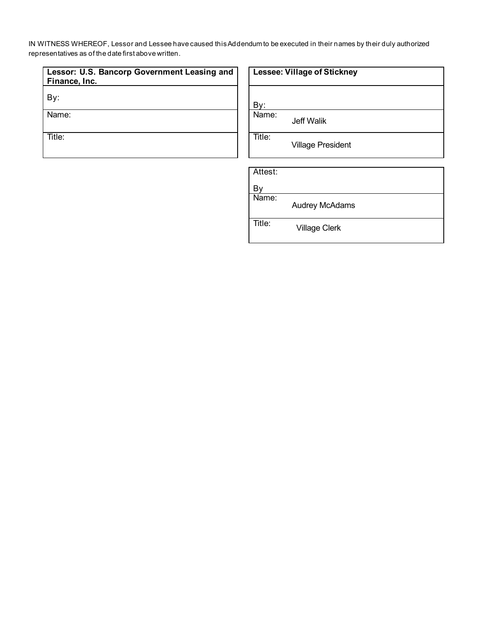IN WITNESS WHEREOF, Lessor and Lessee have caused this Addendum to be executed in their names by their duly authorized representatives as of the date first above written.

| Lessor: U.S. Bancorp Government Leasing and<br>Finance, Inc. | Lesse |
|--------------------------------------------------------------|-------|
|                                                              |       |
| Name:                                                        | Name: |

Title: Title:

|  |  | <b>Lessee: Village of Stickney</b> |
|--|--|------------------------------------|
|--|--|------------------------------------|

Jeff Walik

Village President

Attest:

By

Title:

Name: Audrey McAdams

Village Clerk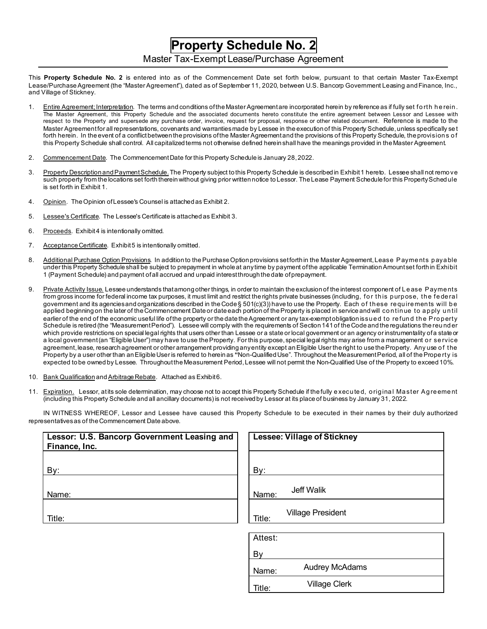## **Property Schedule No. 2**

#### Master Tax-Exempt Lease/Purchase Agreement

This **Property Schedule No. 2** is entered into as of the Commencement Date set forth below, pursuant to that certain Master Tax-Exempt Lease/Purchase Agreement (the "Master Agreement"), dated as of September 11, 2020, between U.S. Bancorp Government Leasing and Finance, Inc., and Village of Stickney.

- 1. Entire Agreement; Interpretation. The terms and conditions of the Master Agreement are incorporated herein by reference as if fully set forth herein. The Master Agreement, this Property Schedule and the associated documents hereto constitute the entire agreement between Lessor and Lessee with respect to the Property and supersede any purchase order, invoice, request for proposal, response or other related document. Reference is made to the Master Agreement for all representations, covenants and warranties made by Lessee in the execution of this Property Schedule, unless specifically se t forth herein. In the event of a conflict between the provisions of the Master Agreement and the provisions of this Property Schedule, the provisions of this Property Schedule shall control. All capitalized terms not otherwise defined herein shall have the meanings provided in the Master Agreement.
- 2. Commencement Date. The Commencement Date for this Property Schedule is January 28, 2022.
- 3. Property Description and Payment Schedule. The Property subject to this Property Schedule is described in Exhibit 1 hereto. Lessee shall not remo ve such property from the locations set forth thereinwithout giving prior written notice to Lessor. The Lease Payment Schedule for this Property Sched ule is set forth in Exhibit 1.
- 4. Opinion. The Opinion of Lessee's Counsel is attached as Exhibit 2.
- 5. Lessee's Certificate. The Lessee's Certificate is attached as Exhibit 3.
- 6. Proceeds. Exhibit 4 is intentionally omitted.
- 7. Acceptance Certificate. Exhibit 5 is intentionally omitted.
- 8. Additional Purchase Option Provisions. In addition to the Purchase Option provisions set forth in the Master Agreement, Lease Payments payable under this Property Schedule shall be subject to prepayment in whole at any time by payment of the applicable Termination Amount set forth in Exhibit 1 (Payment Schedule) and payment of all accrued and unpaid interest through the date of prepayment.
- 9. Private Activity Issue. Lessee understands that among other things, in order to maintain the exclusion of the interest component of Lease Payments from gross income for federal income tax purposes, it must limit and restrict the rights private businesses (including, fo r th is purpose, the federal government and its agencies and organizations described in the Code § 501(c)(3)) have to use the Property. Each of these requirements will be applied beginning on the later of the Commencement Date or date each portion of the Property is placed in service and will continue to apply u ntil earlier of the end of the economic useful life of the property or the date the Agreement or any tax-exemptobligation issu e d to re fund the Property Schedule is retired (the "Measurement Period"). Lessee will comply with the requirements of Section 141 of the Code and the regulations the reu nd er which provide restrictions on special legal rights that users other than Lessee or a state or local government or an agency or instrumentality of a state or a local government (an "Eligible User") may have to use the Property. For this purpose, special legal rights may arise from a management o r se rvice agreement, lease, research agreement or other arrangement providing any entity except an Eligible User the right to use the Property. Any use of the Property by a user other than an Eligible User is referred to herein as **"**Non-Qualified Use". Throughout the Measurement Period, all of the Prope rty is expected to be owned by Lessee. Throughout the Measurement Period, Lessee will not permit the Non-Qualified Use of the Property to exceed 10%.
- 10. Bank Qualification and Arbitrage Rebate. Attached as Exhibit 6.
- 11. Expiration. Lessor, at its sole determination, may choose not to accept this Property Schedule if the fully executed, original Master Agreement (including this Property Schedule and all ancillary documents) is not received by Lessor at its place of business by January 31, 2022.

IN WITNESS WHEREOF, Lessor and Lessee have caused this Property Schedule to be executed in their names by their duly authorized representatives as of the Commencement Date above.

| Lessor: U.S. Bancorp Government Leasing and<br>Finance, Inc. | <b>Lessee: Village of Stickney</b> |
|--------------------------------------------------------------|------------------------------------|
|                                                              |                                    |
| By:                                                          | By:                                |
| Name:                                                        | Jeff Walik<br>Name:                |
| Title:                                                       | <b>Village President</b><br>Title: |
|                                                              | Attest:                            |
|                                                              | By                                 |
|                                                              | <b>Audrey McAdams</b><br>Name:     |
|                                                              | <b>Village Clerk</b><br>Title:     |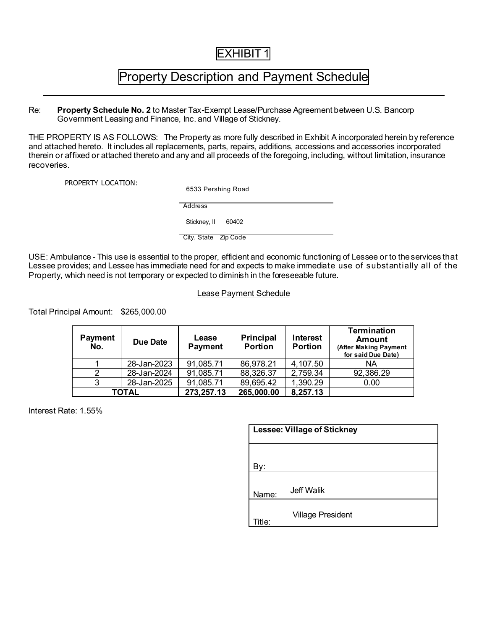## EXHIBIT 1

## Property Description and Payment Schedule

Re: **Property Schedule No. 2** to Master Tax-Exempt Lease/Purchase Agreement between U.S. Bancorp Government Leasing and Finance, Inc. and Village of Stickney.

THE PROPERTY IS AS FOLLOWS: The Property as more fully described in Exhibit A incorporated herein by reference and attached hereto. It includes all replacements, parts, repairs, additions, accessions and accessories incorporated therein or affixed or attached thereto and any and all proceeds of the foregoing, including, without limitation, insurance recoveries.

PROPERTY LOCATION:

6533 Pershing Road

Address

Stickney, II 60402

City, State Zip Code

USE: Ambulance - This use is essential to the proper, efficient and economic functioning of Lessee or to the services that Lessee provides; and Lessee has immediate need for and expects to make immediate use of substantially all of the Property, which need is not temporary or expected to diminish in the foreseeable future.

#### Lease Payment Schedule

Total Principal Amount: \$265,000.00

| <b>Payment</b><br>No. | Due Date    | Lease<br><b>Payment</b> | <b>Principal</b><br><b>Portion</b> | Interest<br><b>Portion</b> | <b>Termination</b><br><b>Amount</b><br>(After Making Payment<br>for said Due Date) |
|-----------------------|-------------|-------------------------|------------------------------------|----------------------------|------------------------------------------------------------------------------------|
|                       | 28-Jan-2023 | 91,085.71               | 86,978.21                          | 4,107.50                   | NA                                                                                 |
|                       | 28-Jan-2024 | 91,085.71               | 88,326.37                          | 2,759.34                   | 92,386.29                                                                          |
|                       | 28-Jan-2025 | 91,085.71               | 89,695.42                          | 1,390.29                   | 0.00                                                                               |
|                       | TOTAL       | 273,257.13              | 265,000.00                         | 8,257.13                   |                                                                                    |

Interest Rate: 1.55%

| <b>Lessee: Village of Stickney</b> |                          |  |  |
|------------------------------------|--------------------------|--|--|
|                                    |                          |  |  |
| 3ν:                                |                          |  |  |
| Name:                              | Jeff Walik               |  |  |
| itle:                              | <b>Village President</b> |  |  |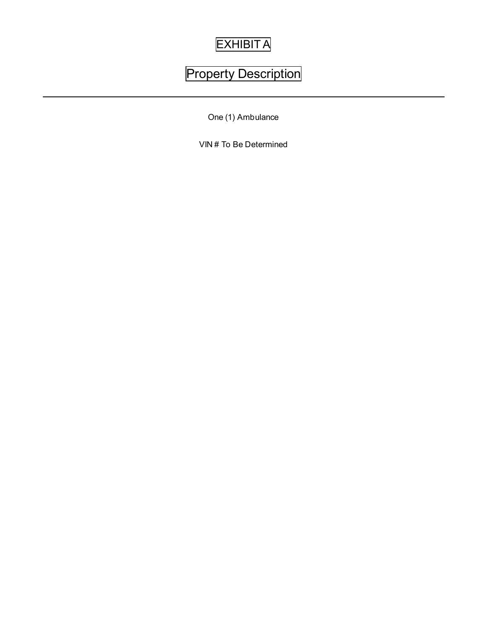# **EXHIBITA**

# Property Description

One (1) Ambulance

VIN # To Be Determined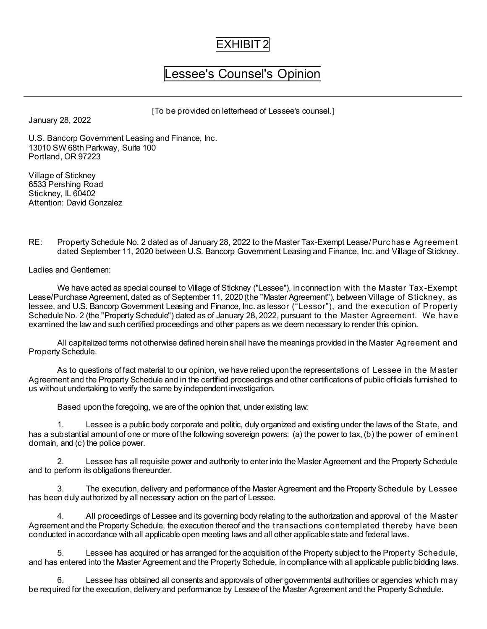### EXHIBIT 2

# Lessee's Counsel's Opinion

[To be provided on letterhead of Lessee's counsel.]

January 28, 2022

U.S. Bancorp Government Leasing and Finance, Inc. 13010 SW 68th Parkway, Suite 100 Portland, OR 97223

Village of Stickney 6533 Pershing Road Stickney, IL 60402 Attention: David Gonzalez

RE: Property Schedule No. 2 dated as of January 28, 2022 to the Master Tax-Exempt Lease/Purchase Agreement dated September 11, 2020 between U.S. Bancorp Government Leasing and Finance, Inc. and Village of Stickney.

Ladies and Gentlemen:

We have acted as special counsel to Village of Stickney ("Lessee"), in connection with the Master Tax-Exempt Lease/Purchase Agreement, dated as of September 11, 2020 (the "Master Agreement"), between Village of Stickney, as lessee, and U.S. Bancorp Government Leasing and Finance, Inc. as lessor ("Lessor"), and the execution of Property Schedule No. 2 (the "Property Schedule") dated as of January 28, 2022, pursuant to the Master Agreement. We have examined the law and such certified proceedings and other papers as we deem necessary to render this opinion.

All capitalized terms not otherwise defined herein shall have the meanings provided in the Master Agreement and Property Schedule.

As to questions of fact material to our opinion, we have relied upon the representations of Lessee in the Master Agreement and the Property Schedule and in the certified proceedings and other certifications of public officials furnished to us without undertaking to verify the same by independent investigation.

Based upon the foregoing, we are of the opinion that, under existing law:

1. Lessee is a public body corporate and politic, duly organized and existing under the laws of the State, and has a substantial amount of one or more of the following sovereign powers: (a) the power to tax, (b) the power of eminent domain, and (c) the police power.

2. Lessee has all requisite power and authority to enter into the Master Agreement and the Property Schedule and to perform its obligations thereunder.

3. The execution, delivery and performance of the Master Agreement and the Property Schedule by Lessee has been duly authorized by all necessary action on the part of Lessee.

4. All proceedings of Lessee and its governing body relating to the authorization and approval of the Master Agreement and the Property Schedule, the execution thereof and the transactions contemplated thereby have been conducted in accordance with all applicable open meeting laws and all other applicable state and federal laws.

Lessee has acquired or has arranged for the acquisition of the Property subject to the Property Schedule, and has entered into the Master Agreement and the Property Schedule, in compliance with all applicable public bidding laws.

6. Lessee has obtained all consents and approvals of other governmental authorities or agencies which may be required for the execution, delivery and performance by Lessee of the Master Agreement and the Property Schedule.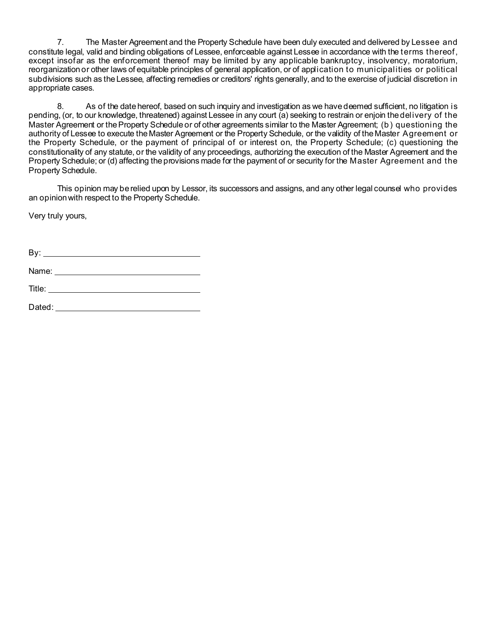7. The Master Agreement and the Property Schedule have been duly executed and delivered by Lessee and constitute legal, valid and binding obligations of Lessee, enforceable against Lessee in accordance with the terms thereof, except insofar as the enforcement thereof may be limited by any applicable bankruptcy, insolvency, moratorium, reorganization or other laws of equitable principles of general application, or of application to municipalities or political subdivisions such as the Lessee, affecting remedies or creditors' rights generally, and to the exercise of judicial discretion in appropriate cases.

8. As of the date hereof, based on such inquiry and investigation as we have deemed sufficient, no litigation is pending, (or, to our knowledge, threatened) against Lessee in any court (a) seeking to restrain or enjoin the delivery of the Master Agreement or the Property Schedule or of other agreements similar to the Master Agreement; (b) questioning the authority of Lessee to execute the Master Agreement or the Property Schedule, or the validity of the Master Agreement or the Property Schedule, or the payment of principal of or interest on, the Property Schedule; (c) questioning the constitutionality of any statute, or the validity of any proceedings, authorizing the execution of the Master Agreement and the Property Schedule; or (d) affecting the provisions made for the payment of or security for the Master Agreement and the Property Schedule.

This opinion may be relied upon by Lessor, its successors and assigns, and any other legal counsel who provides an opinion with respect to the Property Schedule.

Very truly yours,

By:

Name:

Title:

Dated: \_\_\_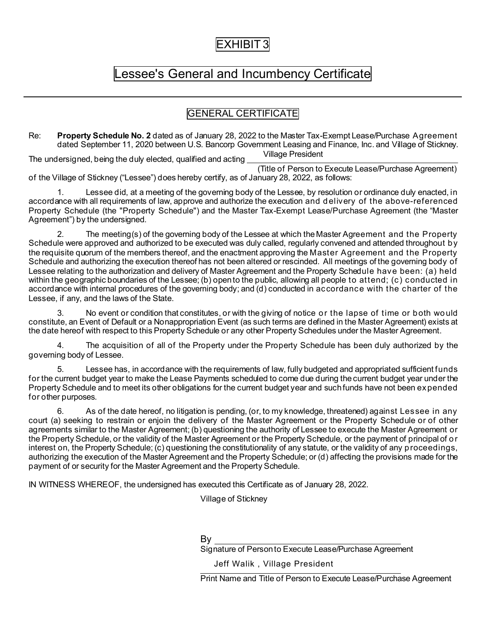### EXHIBIT 3

### Lessee's General and Incumbency Certificate

#### GENERAL CERTIFICATE

Re: **Property Schedule No. 2** dated as of January 28, 2022 to the Master Tax-Exempt Lease/Purchase Agreement dated September 11, 2020 between U.S. Bancorp Government Leasing and Finance, Inc. and Village of Stickney.

The undersigned, being the duly elected, qualified and acting (Title of Person to Execute Lease/Purchase Agreement) Village President

of the Village of Stickney ("Lessee") does hereby certify, as of January 28, 2022, as follows:

1. Lessee did, at a meeting of the governing body of the Lessee, by resolution or ordinance duly enacted, in accordance with all requirements of law, approve and authorize the execution and delivery of the above-referenced Property Schedule (the "Property Schedule") and the Master Tax-Exempt Lease/Purchase Agreement (the "Master Agreement") by the undersigned.

2. The meeting(s) of the governing body of the Lessee at which the Master Agreement and the Property Schedule were approved and authorized to be executed was duly called, regularly convened and attended throughout by the requisite quorum of the members thereof, and the enactment approving the Master Agreement and the Property Schedule and authorizing the execution thereof has not been altered or rescinded. All meetings of the governing body of Lessee relating to the authorization and delivery of Master Agreement and the Property Schedule have been: (a) held within the geographic boundaries of the Lessee; (b) open to the public, allowing all people to attend; (c) conducted in accordance with internal procedures of the governing body; and (d) conducted in accordance with the charter of the Lessee, if any, and the laws of the State.

No event or condition that constitutes, or with the giving of notice or the lapse of time or both would constitute, an Event of Default or a Nonappropriation Event (as such terms are defined in the Master Agreement) exists at the date hereof with respect to this Property Schedule or any other Property Schedules under the Master Agreement.

4. The acquisition of all of the Property under the Property Schedule has been duly authorized by the governing body of Lessee.

5. Lessee has, in accordance with the requirements of law, fully budgeted and appropriated sufficient funds for the current budget year to make the Lease Payments scheduled to come due during the current budget year under the Property Schedule and to meet its other obligations for the current budget year and such funds have not been expended for other purposes.

6. As of the date hereof, no litigation is pending, (or, to my knowledge, threatened) against Lessee in any court (a) seeking to restrain or enjoin the delivery of the Master Agreement or the Property Schedule or of other agreements similar to the Master Agreement; (b) questioning the authority of Lessee to execute the Master Agreement or the Property Schedule, or the validity of the Master Agreement or the Property Schedule, or the payment of principal of or interest on, the Property Schedule; (c) questioning the constitutionality of any statute, or the validity of any proceedings, authorizing the execution of the Master Agreement and the Property Schedule; or (d) affecting the provisions made for the payment of or security for the Master Agreement and the Property Schedule.

IN WITNESS WHEREOF, the undersigned has executed this Certificate as of January 28, 2022.

Village of Stickney

#### By

Signature of Person to Execute Lease/Purchase Agreement

Jeff Walik , Village President

Print Name and Title of Person to Execute Lease/Purchase Agreement